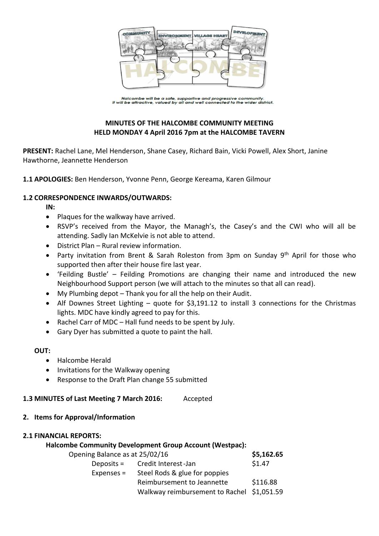

Halcombe will be a safe, supportive and progressive community.<br>It will be attractive, valued by all and well connected to the wider district.

# **MINUTES OF THE HALCOMBE COMMUNITY MEETING HELD MONDAY 4 April 2016 7pm at the HALCOMBE TAVERN**

**PRESENT:** Rachel Lane, Mel Henderson, Shane Casey, Richard Bain, Vicki Powell, Alex Short, Janine Hawthorne, Jeannette Henderson

**1.1 APOLOGIES:** Ben Henderson, Yvonne Penn, George Kereama, Karen Gilmour

### **1.2 CORRESPONDENCE INWARDS/OUTWARDS:**

**IN:** 

- Plaques for the walkway have arrived.
- RSVP's received from the Mayor, the Managh's, the Casey's and the CWI who will all be attending. Sadly Ian McKelvie is not able to attend.
- District Plan Rural review information.
- Party invitation from Brent & Sarah Roleston from 3pm on Sunday 9<sup>th</sup> April for those who supported then after their house fire last year.
- 'Feilding Bustle' Feilding Promotions are changing their name and introduced the new Neighbourhood Support person (we will attach to the minutes so that all can read).
- My Plumbing depot Thank you for all the help on their Audit.
- Alf Downes Street Lighting quote for \$3,191.12 to install 3 connections for the Christmas lights. MDC have kindly agreed to pay for this.
- Rachel Carr of MDC Hall fund needs to be spent by July.
- Gary Dyer has submitted a quote to paint the hall.

**OUT:**

- Halcombe Herald
- Invitations for the Walkway opening
- Response to the Draft Plan change 55 submitted

### **1.3 MINUTES of Last Meeting 7 March 2016:** Accepted

**2. Items for Approval/Information**

### **2.1 FINANCIAL REPORTS:**

|                                | <b>Halcombe Community Development Group Account (Westpac):</b> |            |
|--------------------------------|----------------------------------------------------------------|------------|
| Opening Balance as at 25/02/16 |                                                                | \$5,162.65 |
|                                | Deposits = Credit Interest-Jan                                 | \$1.47     |
| Expenses =                     | Steel Rods & glue for poppies                                  |            |
|                                | Reimbursement to Jeannette                                     | \$116.88   |
|                                | Walkway reimbursement to Rachel \$1,051.59                     |            |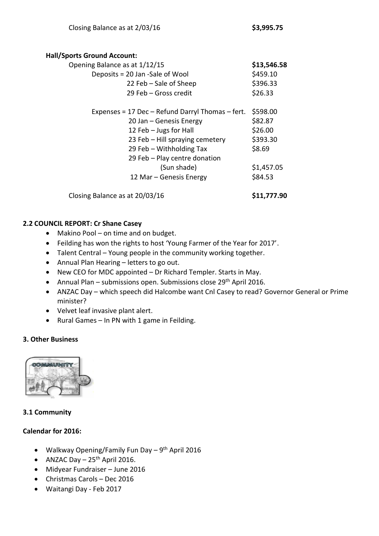#### **Hall/Sports Ground Account:**

| \$13,546.58 |
|-------------|
| \$459.10    |
| \$396.33    |
| \$26.33     |
| \$598.00    |
| \$82.87     |
| \$26.00     |
| \$393.30    |
| \$8.69      |
|             |
| \$1,457.05  |
| \$84.53     |
|             |

Closing Balance as at 20/03/16 **\$11,777.90**

## **2.2 COUNCIL REPORT: Cr Shane Casey**

- Makino Pool on time and on budget.
- Feilding has won the rights to host 'Young Farmer of the Year for 2017'.
- Talent Central Young people in the community working together.
- Annual Plan Hearing letters to go out.
- New CEO for MDC appointed Dr Richard Templer. Starts in May.
- Annual Plan submissions open. Submissions close  $29<sup>th</sup>$  April 2016.
- ANZAC Day which speech did Halcombe want Cnl Casey to read? Governor General or Prime minister?
- Velvet leaf invasive plant alert.
- Rural Games In PN with 1 game in Feilding.

## **3. Other Business**



## **3.1 Community**

## **Calendar for 2016:**

- Walkway Opening/Family Fun Day 9<sup>th</sup> April 2016
- ANZAC Day  $-25$ <sup>th</sup> April 2016.
- Midyear Fundraiser June 2016
- Christmas Carols Dec 2016
- Waitangi Day Feb 2017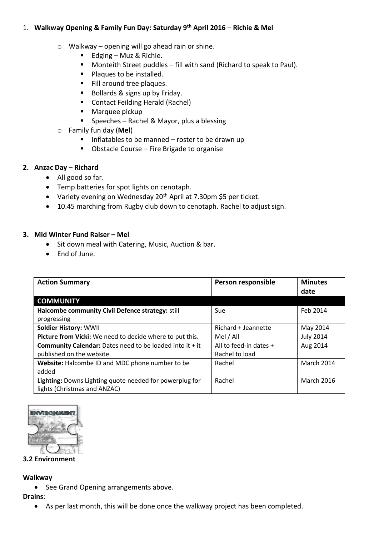## 1. **Walkway Opening & Family Fun Day: Saturday 9th April 2016** – **Richie & Mel**

- $\circ$  Walkway opening will go ahead rain or shine.
	- Edging Muz & Richie.
	- **Monteith Street puddles fill with sand (Richard to speak to Paul).**
	- Plaques to be installed.
	- Fill around tree plaques.
	- Bollards & signs up by Friday.
	- Contact Feilding Herald (Rachel)
	- **Marquee pickup**
	- **Speeches Rachel & Mayor, plus a blessing**
- o Family fun day (**Mel**)
	- $\blacksquare$  Inflatables to be manned roster to be drawn up
	- **D** Obstacle Course Fire Brigade to organise

## **2. Anzac Day** – **Richard**

- All good so far.
- Temp batteries for spot lights on cenotaph.
- Variety evening on Wednesday 20<sup>th</sup> April at 7.30pm \$5 per ticket.
- 10.45 marching from Rugby club down to cenotaph. Rachel to adjust sign.

### **3. Mid Winter Fund Raiser – Mel**

- Sit down meal with Catering, Music, Auction & bar.
- End of June.

| <b>Action Summary</b>                                                                   | Person responsible     | <b>Minutes</b><br>date |
|-----------------------------------------------------------------------------------------|------------------------|------------------------|
| <b>COMMUNITY</b>                                                                        |                        |                        |
| Halcombe community Civil Defence strategy: still                                        | Sue                    | Feb 2014               |
| progressing                                                                             |                        |                        |
| <b>Soldier History: WWII</b>                                                            | Richard + Jeannette    | May 2014               |
| Picture from Vicki: We need to decide where to put this.                                | Mel / All              | <b>July 2014</b>       |
| <b>Community Calendar:</b> Dates need to be loaded into it + it                         | All to feed-in dates + | Aug 2014               |
| published on the website.                                                               | Rachel to load         |                        |
| Website: Halcombe ID and MDC phone number to be<br>added                                | Rachel                 | <b>March 2014</b>      |
| Lighting: Downs Lighting quote needed for powerplug for<br>lights (Christmas and ANZAC) | Rachel                 | <b>March 2016</b>      |



### **3.2 Environment**

**Walkway**

• See Grand Opening arrangements above.

**Drains**:

As per last month, this will be done once the walkway project has been completed.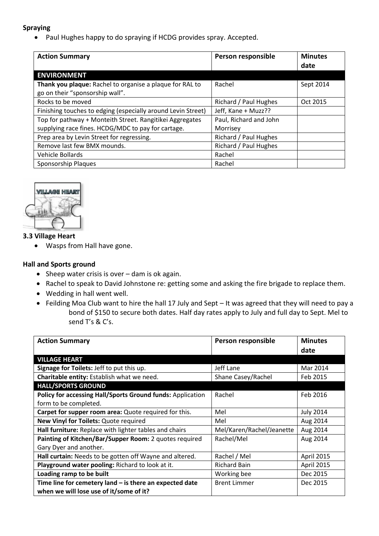## **Spraying**

Paul Hughes happy to do spraying if HCDG provides spray. Accepted.

| <b>Action Summary</b>                                        | Person responsible     | <b>Minutes</b><br>date |
|--------------------------------------------------------------|------------------------|------------------------|
| <b>ENVIRONMENT</b>                                           |                        |                        |
| Thank you plaque: Rachel to organise a plaque for RAL to     | Rachel                 | Sept 2014              |
| go on their "sponsorship wall".                              |                        |                        |
| Rocks to be moved                                            | Richard / Paul Hughes  | Oct 2015               |
| Finishing touches to edging (especially around Levin Street) | Jeff, Kane + Muzz??    |                        |
| Top for pathway + Monteith Street. Rangitikei Aggregates     | Paul, Richard and John |                        |
| supplying race fines. HCDG/MDC to pay for cartage.           | Morrisey               |                        |
| Prep area by Levin Street for regressing.                    | Richard / Paul Hughes  |                        |
| Remove last few BMX mounds.                                  | Richard / Paul Hughes  |                        |
| Vehicle Bollards                                             | Rachel                 |                        |
| Sponsorship Plaques                                          | Rachel                 |                        |



### **3.3 Village Heart**

Wasps from Hall have gone.

### **Hall and Sports ground**

- $\bullet$  Sheep water crisis is over dam is ok again.
- Rachel to speak to David Johnstone re: getting some and asking the fire brigade to replace them.
- Wedding in hall went well.
- Feilding Moa Club want to hire the hall 17 July and Sept It was agreed that they will need to pay a bond of \$150 to secure both dates. Half day rates apply to July and full day to Sept. Mel to send T's & C's.

| <b>Action Summary</b>                                      | Person responsible        | <b>Minutes</b>   |
|------------------------------------------------------------|---------------------------|------------------|
|                                                            |                           | date             |
| <b>VILLAGE HEART</b>                                       |                           |                  |
| Signage for Toilets: Jeff to put this up.                  | Jeff Lane                 | Mar 2014         |
| Charitable entity: Establish what we need.                 | Shane Casey/Rachel        | Feb 2015         |
| <b>HALL/SPORTS GROUND</b>                                  |                           |                  |
| Policy for accessing Hall/Sports Ground funds: Application | Rachel                    | Feb 2016         |
| form to be completed.                                      |                           |                  |
| Carpet for supper room area: Quote required for this.      | Mel                       | <b>July 2014</b> |
| New Vinyl for Toilets: Quote required                      | Mel                       | Aug 2014         |
| Hall furniture: Replace with lighter tables and chairs     | Mel/Karen/Rachel/Jeanette | Aug 2014         |
| Painting of Kitchen/Bar/Supper Room: 2 quotes required     | Rachel/Mel                | Aug 2014         |
| Gary Dyer and another.                                     |                           |                  |
| Hall curtain: Needs to be gotten off Wayne and altered.    | Rachel / Mel              | April 2015       |
| Playground water pooling: Richard to look at it.           | <b>Richard Bain</b>       | April 2015       |
| Loading ramp to be built                                   | Working bee               | Dec 2015         |
| Time line for cemetery land $-$ is there an expected date  | <b>Brent Limmer</b>       | Dec 2015         |
| when we will lose use of it/some of it?                    |                           |                  |